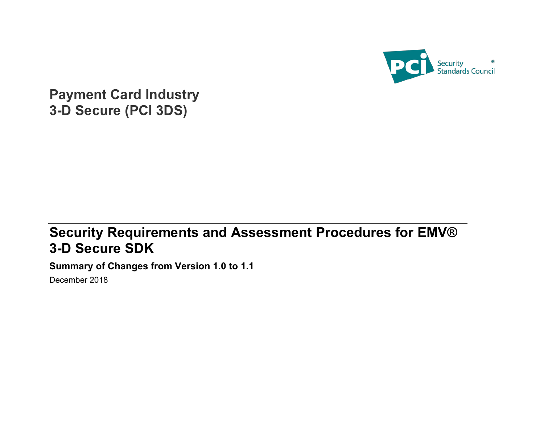

**Payment Card Industry 3-D Secure (PCI 3DS)**

## **Security Requirements and Assessment Procedures for EMV® 3-D Secure SDK**

**Summary of Changes from Version 1.0 to 1.1**

December 2018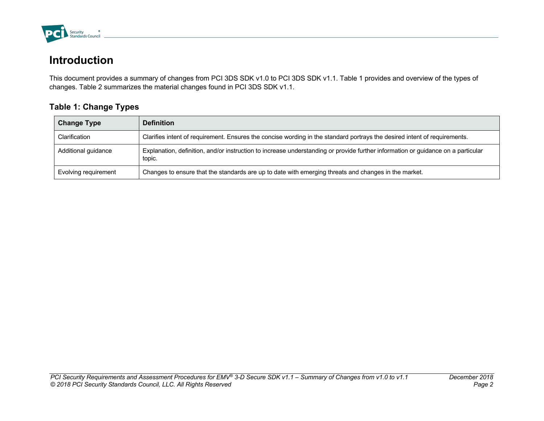

## **Introduction**

This document provides a summary of changes from PCI 3DS SDK v1.0 to PCI 3DS SDK v1.1. Table 1 provides and overview of the types of changes. Table 2 summarizes the material changes found in PCI 3DS SDK v1.1.

## **Table 1: Change Types**

| <b>Change Type</b>   | <b>Definition</b>                                                                                                                          |
|----------------------|--------------------------------------------------------------------------------------------------------------------------------------------|
| Clarification        | Clarifies intent of requirement. Ensures the concise wording in the standard portrays the desired intent of requirements.                  |
| Additional guidance  | Explanation, definition, and/or instruction to increase understanding or provide further information or guidance on a particular<br>topic. |
| Evolving requirement | Changes to ensure that the standards are up to date with emerging threats and changes in the market.                                       |